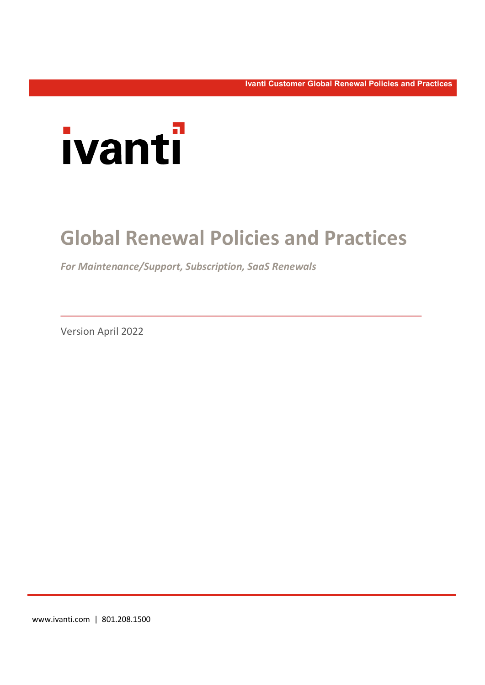Ivanti Customer Global Renewal Policies and Practices



# Global Renewal Policies and Practices

For Maintenance/Support, Subscription, SaaS Renewals

Version April 2022

www.ivanti.com | 801.208.1500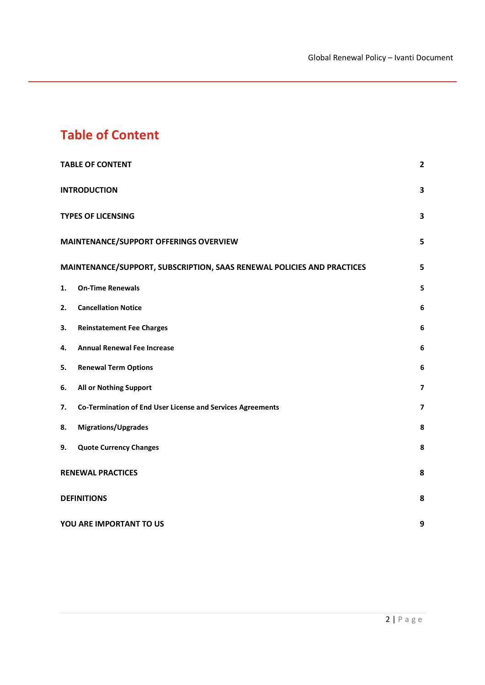## Table of Content

|                          | <b>TABLE OF CONTENT</b>                                                | $\overline{2}$          |
|--------------------------|------------------------------------------------------------------------|-------------------------|
| <b>INTRODUCTION</b>      |                                                                        | 3                       |
|                          | <b>TYPES OF LICENSING</b>                                              |                         |
|                          | MAINTENANCE/SUPPORT OFFERINGS OVERVIEW                                 |                         |
|                          | MAINTENANCE/SUPPORT, SUBSCRIPTION, SAAS RENEWAL POLICIES AND PRACTICES |                         |
| 1.                       | <b>On-Time Renewals</b>                                                | 5                       |
| 2.                       | <b>Cancellation Notice</b>                                             | 6                       |
| 3.                       | <b>Reinstatement Fee Charges</b>                                       | 6                       |
| 4.                       | <b>Annual Renewal Fee Increase</b>                                     | 6                       |
| 5.                       | <b>Renewal Term Options</b>                                            | 6                       |
| 6.                       | All or Nothing Support                                                 | $\overline{\mathbf{z}}$ |
| 7.                       | Co-Termination of End User License and Services Agreements             | $\overline{\mathbf{z}}$ |
| 8.                       | <b>Migrations/Upgrades</b>                                             | 8                       |
| 9.                       | <b>Quote Currency Changes</b>                                          | 8                       |
| <b>RENEWAL PRACTICES</b> |                                                                        | 8                       |
|                          | <b>DEFINITIONS</b>                                                     |                         |
|                          | YOU ARE IMPORTANT TO US                                                |                         |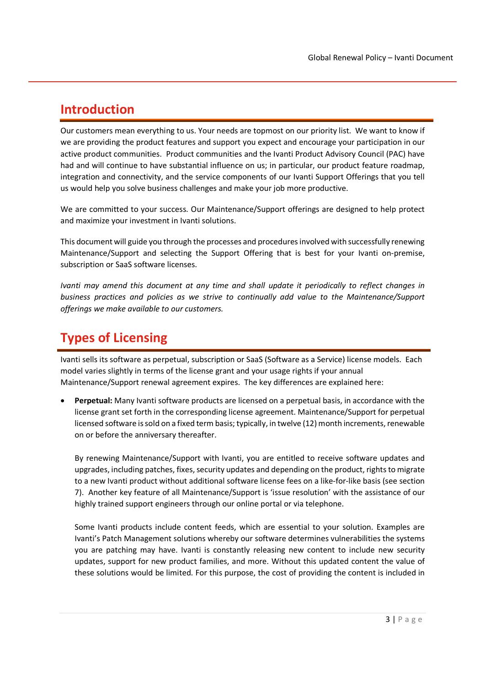#### Introduction

Our customers mean everything to us. Your needs are topmost on our priority list. We want to know if we are providing the product features and support you expect and encourage your participation in our active product communities. Product communities and the Ivanti Product Advisory Council (PAC) have had and will continue to have substantial influence on us; in particular, our product feature roadmap, integration and connectivity, and the service components of our Ivanti Support Offerings that you tell us would help you solve business challenges and make your job more productive.

We are committed to your success. Our Maintenance/Support offerings are designed to help protect and maximize your investment in Ivanti solutions.

This document will guide you through the processes and procedures involved with successfully renewing Maintenance/Support and selecting the Support Offering that is best for your Ivanti on-premise, subscription or SaaS software licenses.

Ivanti may amend this document at any time and shall update it periodically to reflect changes in business practices and policies as we strive to continually add value to the Maintenance/Support offerings we make available to our customers.

## Types of Licensing

Ivanti sells its software as perpetual, subscription or SaaS (Software as a Service) license models. Each model varies slightly in terms of the license grant and your usage rights if your annual Maintenance/Support renewal agreement expires. The key differences are explained here:

Perpetual: Many Ivanti software products are licensed on a perpetual basis, in accordance with the license grant set forth in the corresponding license agreement. Maintenance/Support for perpetual licensed software is sold on a fixed term basis; typically, in twelve (12) month increments, renewable on or before the anniversary thereafter.

By renewing Maintenance/Support with Ivanti, you are entitled to receive software updates and upgrades, including patches, fixes, security updates and depending on the product, rights to migrate to a new Ivanti product without additional software license fees on a like-for-like basis (see section 7). Another key feature of all Maintenance/Support is 'issue resolution' with the assistance of our highly trained support engineers through our online portal or via telephone.

Some Ivanti products include content feeds, which are essential to your solution. Examples are Ivanti's Patch Management solutions whereby our software determines vulnerabilities the systems you are patching may have. Ivanti is constantly releasing new content to include new security updates, support for new product families, and more. Without this updated content the value of these solutions would be limited. For this purpose, the cost of providing the content is included in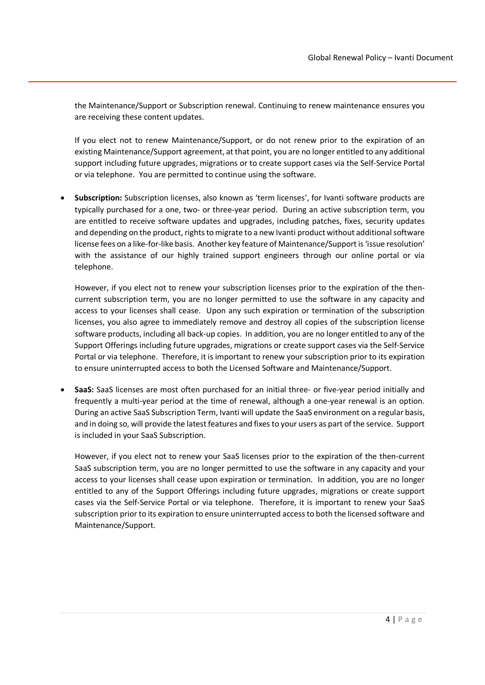the Maintenance/Support or Subscription renewal. Continuing to renew maintenance ensures you are receiving these content updates.

If you elect not to renew Maintenance/Support, or do not renew prior to the expiration of an existing Maintenance/Support agreement, at that point, you are no longer entitled to any additional support including future upgrades, migrations or to create support cases via the Self-Service Portal or via telephone. You are permitted to continue using the software.

 Subscription: Subscription licenses, also known as 'term licenses', for Ivanti software products are typically purchased for a one, two- or three-year period. During an active subscription term, you are entitled to receive software updates and upgrades, including patches, fixes, security updates and depending on the product, rights to migrate to a new Ivanti product without additional software license fees on a like-for-like basis. Another key feature of Maintenance/Support is 'issue resolution' with the assistance of our highly trained support engineers through our online portal or via telephone.

However, if you elect not to renew your subscription licenses prior to the expiration of the thencurrent subscription term, you are no longer permitted to use the software in any capacity and access to your licenses shall cease. Upon any such expiration or termination of the subscription licenses, you also agree to immediately remove and destroy all copies of the subscription license software products, including all back-up copies. In addition, you are no longer entitled to any of the Support Offerings including future upgrades, migrations or create support cases via the Self-Service Portal or via telephone. Therefore, it is important to renew your subscription prior to its expiration to ensure uninterrupted access to both the Licensed Software and Maintenance/Support.

• SaaS: SaaS licenses are most often purchased for an initial three- or five-year period initially and frequently a multi-year period at the time of renewal, although a one-year renewal is an option. During an active SaaS Subscription Term, Ivanti will update the SaaS environment on a regular basis, and in doing so, will provide the latest features and fixes to your users as part of the service. Support is included in your SaaS Subscription.

However, if you elect not to renew your SaaS licenses prior to the expiration of the then-current SaaS subscription term, you are no longer permitted to use the software in any capacity and your access to your licenses shall cease upon expiration or termination. In addition, you are no longer entitled to any of the Support Offerings including future upgrades, migrations or create support cases via the Self-Service Portal or via telephone. Therefore, it is important to renew your SaaS subscription prior to its expiration to ensure uninterrupted access to both the licensed software and Maintenance/Support.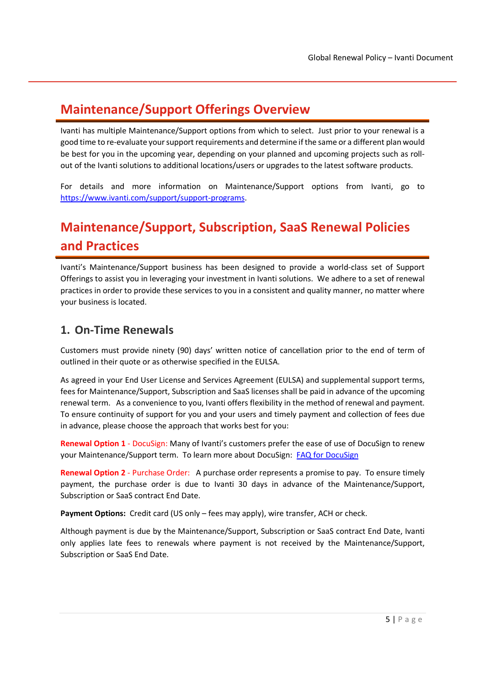## Maintenance/Support Offerings Overview

Ivanti has multiple Maintenance/Support options from which to select. Just prior to your renewal is a good time to re-evaluate your support requirements and determine if the same or a different plan would be best for you in the upcoming year, depending on your planned and upcoming projects such as rollout of the Ivanti solutions to additional locations/users or upgrades to the latest software products.

For details and more information on Maintenance/Support options from Ivanti, go to https://www.ivanti.com/support/support-programs.

## Maintenance/Support, Subscription, SaaS Renewal Policies and Practices

Ivanti's Maintenance/Support business has been designed to provide a world-class set of Support Offerings to assist you in leveraging your investment in Ivanti solutions. We adhere to a set of renewal practices in order to provide these services to you in a consistent and quality manner, no matter where your business is located.

#### 1. On-Time Renewals

Customers must provide ninety (90) days' written notice of cancellation prior to the end of term of outlined in their quote or as otherwise specified in the EULSA.

As agreed in your End User License and Services Agreement (EULSA) and supplemental support terms, fees for Maintenance/Support, Subscription and SaaS licenses shall be paid in advance of the upcoming renewal term. As a convenience to you, Ivanti offers flexibility in the method of renewal and payment. To ensure continuity of support for you and your users and timely payment and collection of fees due in advance, please choose the approach that works best for you:

Renewal Option 1 - DocuSign: Many of Ivanti's customers prefer the ease of use of DocuSign to renew your Maintenance/Support term. To learn more about DocuSign: FAQ for DocuSign

Renewal Option 2 - Purchase Order: A purchase order represents a promise to pay. To ensure timely payment, the purchase order is due to Ivanti 30 days in advance of the Maintenance/Support, Subscription or SaaS contract End Date.

Payment Options: Credit card (US only – fees may apply), wire transfer, ACH or check.

Although payment is due by the Maintenance/Support, Subscription or SaaS contract End Date, Ivanti only applies late fees to renewals where payment is not received by the Maintenance/Support, Subscription or SaaS End Date.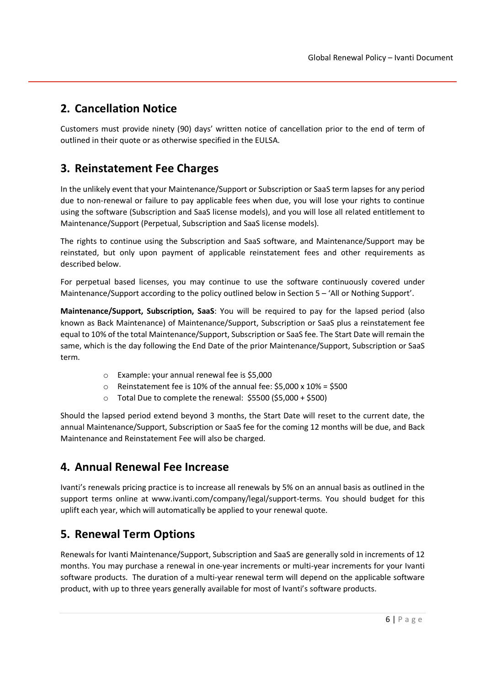#### 2. Cancellation Notice

Customers must provide ninety (90) days' written notice of cancellation prior to the end of term of outlined in their quote or as otherwise specified in the EULSA.

#### 3. Reinstatement Fee Charges

In the unlikely event that your Maintenance/Support or Subscription or SaaS term lapses for any period due to non-renewal or failure to pay applicable fees when due, you will lose your rights to continue using the software (Subscription and SaaS license models), and you will lose all related entitlement to Maintenance/Support (Perpetual, Subscription and SaaS license models).

The rights to continue using the Subscription and SaaS software, and Maintenance/Support may be reinstated, but only upon payment of applicable reinstatement fees and other requirements as described below.

For perpetual based licenses, you may continue to use the software continuously covered under Maintenance/Support according to the policy outlined below in Section 5 – 'All or Nothing Support'.

Maintenance/Support, Subscription, SaaS: You will be required to pay for the lapsed period (also known as Back Maintenance) of Maintenance/Support, Subscription or SaaS plus a reinstatement fee equal to 10% of the total Maintenance/Support, Subscription or SaaS fee. The Start Date will remain the same, which is the day following the End Date of the prior Maintenance/Support, Subscription or SaaS term.

- o Example: your annual renewal fee is \$5,000
- o Reinstatement fee is 10% of the annual fee: \$5,000 x 10% = \$500
- o Total Due to complete the renewal: \$5500 (\$5,000 + \$500)

Should the lapsed period extend beyond 3 months, the Start Date will reset to the current date, the annual Maintenance/Support, Subscription or SaaS fee for the coming 12 months will be due, and Back Maintenance and Reinstatement Fee will also be charged.

#### 4. Annual Renewal Fee Increase

Ivanti's renewals pricing practice is to increase all renewals by 5% on an annual basis as outlined in the support terms online at www.ivanti.com/company/legal/support-terms. You should budget for this uplift each year, which will automatically be applied to your renewal quote.

#### 5. Renewal Term Options

Renewals for Ivanti Maintenance/Support, Subscription and SaaS are generally sold in increments of 12 months. You may purchase a renewal in one-year increments or multi-year increments for your Ivanti software products. The duration of a multi-year renewal term will depend on the applicable software product, with up to three years generally available for most of Ivanti's software products.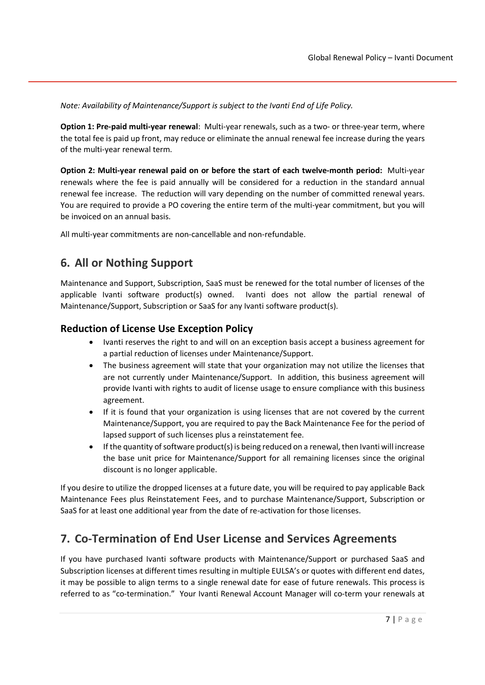Note: Availability of Maintenance/Support is subject to the Ivanti End of Life Policy.

Option 1: Pre-paid multi-year renewal: Multi-year renewals, such as a two- or three-year term, where the total fee is paid up front, may reduce or eliminate the annual renewal fee increase during the years of the multi-year renewal term.

Option 2: Multi-year renewal paid on or before the start of each twelve-month period: Multi-year renewals where the fee is paid annually will be considered for a reduction in the standard annual renewal fee increase. The reduction will vary depending on the number of committed renewal years. You are required to provide a PO covering the entire term of the multi-year commitment, but you will be invoiced on an annual basis.

All multi-year commitments are non-cancellable and non-refundable.

#### 6. All or Nothing Support

Maintenance and Support, Subscription, SaaS must be renewed for the total number of licenses of the applicable Ivanti software product(s) owned. Ivanti does not allow the partial renewal of Maintenance/Support, Subscription or SaaS for any Ivanti software product(s).

#### Reduction of License Use Exception Policy

- Ivanti reserves the right to and will on an exception basis accept a business agreement for a partial reduction of licenses under Maintenance/Support.
- The business agreement will state that your organization may not utilize the licenses that are not currently under Maintenance/Support. In addition, this business agreement will provide Ivanti with rights to audit of license usage to ensure compliance with this business agreement.
- If it is found that your organization is using licenses that are not covered by the current Maintenance/Support, you are required to pay the Back Maintenance Fee for the period of lapsed support of such licenses plus a reinstatement fee.
- If the quantity of software product(s) is being reduced on a renewal, then Ivanti will increase the base unit price for Maintenance/Support for all remaining licenses since the original discount is no longer applicable.

If you desire to utilize the dropped licenses at a future date, you will be required to pay applicable Back Maintenance Fees plus Reinstatement Fees, and to purchase Maintenance/Support, Subscription or SaaS for at least one additional year from the date of re-activation for those licenses.

#### 7. Co-Termination of End User License and Services Agreements

If you have purchased Ivanti software products with Maintenance/Support or purchased SaaS and Subscription licenses at different times resulting in multiple EULSA's or quotes with different end dates, it may be possible to align terms to a single renewal date for ease of future renewals. This process is referred to as "co-termination." Your Ivanti Renewal Account Manager will co-term your renewals at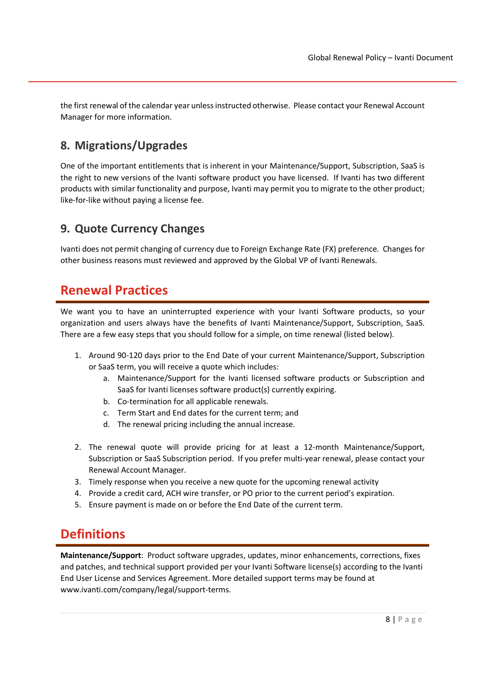the first renewal of the calendar year unless instructed otherwise. Please contact your Renewal Account Manager for more information.

#### 8. Migrations/Upgrades

One of the important entitlements that is inherent in your Maintenance/Support, Subscription, SaaS is the right to new versions of the Ivanti software product you have licensed. If Ivanti has two different products with similar functionality and purpose, Ivanti may permit you to migrate to the other product; like-for-like without paying a license fee.

#### 9. Quote Currency Changes

Ivanti does not permit changing of currency due to Foreign Exchange Rate (FX) preference. Changes for other business reasons must reviewed and approved by the Global VP of Ivanti Renewals.

### Renewal Practices

We want you to have an uninterrupted experience with your Ivanti Software products, so your organization and users always have the benefits of Ivanti Maintenance/Support, Subscription, SaaS. There are a few easy steps that you should follow for a simple, on time renewal (listed below).

- 1. Around 90-120 days prior to the End Date of your current Maintenance/Support, Subscription or SaaS term, you will receive a quote which includes:
	- a. Maintenance/Support for the Ivanti licensed software products or Subscription and SaaS for Ivanti licenses software product(s) currently expiring.
	- b. Co-termination for all applicable renewals.
	- c. Term Start and End dates for the current term; and
	- d. The renewal pricing including the annual increase.
- 2. The renewal quote will provide pricing for at least a 12-month Maintenance/Support, Subscription or SaaS Subscription period. If you prefer multi-year renewal, please contact your Renewal Account Manager.
- 3. Timely response when you receive a new quote for the upcoming renewal activity
- 4. Provide a credit card, ACH wire transfer, or PO prior to the current period's expiration.
- 5. Ensure payment is made on or before the End Date of the current term.

#### **Definitions**

Maintenance/Support: Product software upgrades, updates, minor enhancements, corrections, fixes and patches, and technical support provided per your Ivanti Software license(s) according to the Ivanti End User License and Services Agreement. More detailed support terms may be found at www.ivanti.com/company/legal/support-terms.